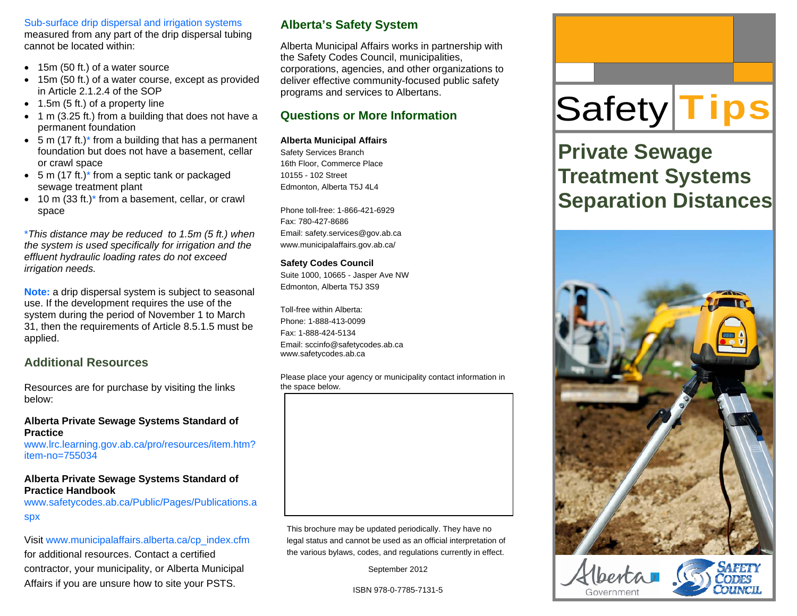Sub-surface drip dispersal and irrigation systems measured from any part of the drip dispersal tubing cannot be located within:

- 15m (50 ft.) of a water source
- $\bullet$  15m (50 ft.) of a water course, except as provided in Article 2.1.2.4 of the SOP
- 1.5m (5 ft.) of a property line
- 1 m (3.25 ft.) from a building that does not have a permanent foundation
- 5 m (17 ft.)\* from a building that has a permanent foundation but does not have a basement, cellar or crawl space
- 5 m (17 ft.)\* from a septic tank or packaged sewage treatment plant
- 10 m (33 ft.)\* from a basement, cellar, or crawl space

\**This distance may be reduced to 1.5m (5 ft.) when the system is used specifically for irrigation and the effluent hydraulic loading rates do not exceed irrigation needs.* 

**Note:** a drip dispersal system is subject to seasonal use. If the development requires the use of the system during the period of November 1 to March 31, then the requirements of Article 8.5.1.5 must be applied.

### **Additional Resources**

Resources are for purchase by visiting the links below:

#### **Alberta Private Sewage Systems Standard of Practice**

www.lrc.learning.gov.ab.ca/pro/resources/item.htm? item-no=755034

#### **Alberta Private Sewage Systems Standard of Practice Handbook**

www.safetycodes.ab.ca/Public/Pages/Publications.a spx

#### Visit www.municipalaffairs.alberta.ca/cp\_index.cfm

for additional resources. Contact a certified contractor, your municipality, or Alberta Municipal Affairs if you are unsure how to site your PSTS.

# **Alberta's Safety System**

Alberta Municipal Affairs works in partnership with the Safety Codes Council, municipalities, corporations, agencies, and other organizations to deliver effective community-focused public safety programs and services to Albertans.

# **Questions or More Information**

#### **Alberta Municipal Affairs**

Safety Services Branch 16th Floor, Commerce Place 10155 - 102 Street Edmonton, Alberta T5J 4L4

Phone toll-free: 1-866-421-6929 Fax: 780-427-8686 Email: safety.services@gov.ab.ca www.municipalaffairs.gov.ab.ca/

#### **Safety Codes Council**

Suite 1000, 10665 - Jasper Ave NW Edmonton, Alberta T5J 3S9

Toll-free within Alberta: Phone: 1-888-413-0099 Fax: 1-888-424-5134 Email: sccinfo@safetycodes.ab.ca www.safetycodes.ab.ca

Please place your agency or municipality contact information in the space below.



This brochure may be updated periodically. They have no legal status and cannot be used as an official interpretation of the various bylaws, codes, and regulations currently in effect.

September 2012

ISBN 978-0-7785-7131-5

# Safety **Tips**

# **Private Sewage Treatment Systems Separation Distances**